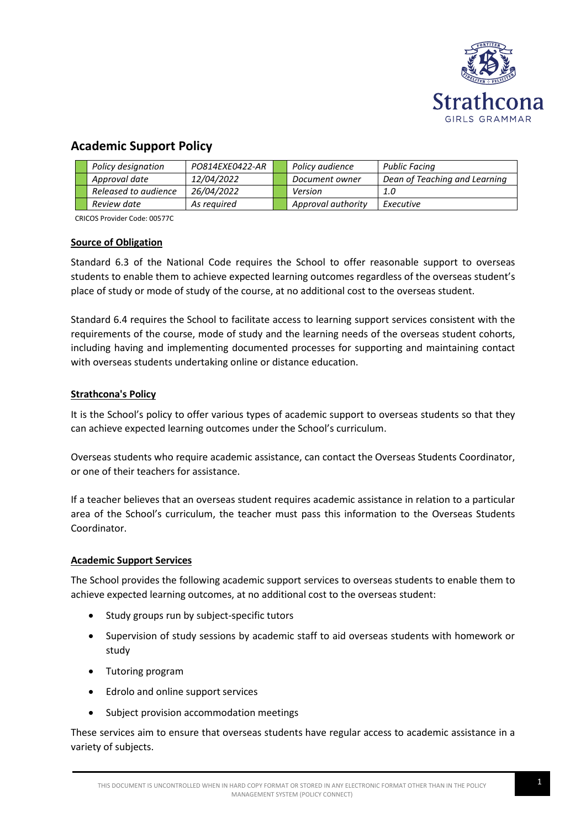

# **Academic Support Policy**

|  | Policy designation   | PO814EXE0422-AR   | Policy audience    | Public Facing                 |
|--|----------------------|-------------------|--------------------|-------------------------------|
|  | Approval date        | 12/04/2022        | Document owner     | Dean of Teaching and Learning |
|  | Released to audience | <i>26/04/2022</i> | Version            | 1.0                           |
|  | Review date          | As reauired       | Approval authority | Executive                     |

CRICOS Provider Code: 00577C

# **Source of Obligation**

Standard 6.3 of the National Code requires the School to offer reasonable support to overseas students to enable them to achieve expected learning outcomes regardless of the overseas student's place of study or mode of study of the course, at no additional cost to the overseas student.

Standard 6.4 requires the School to facilitate access to learning support services consistent with the requirements of the course, mode of study and the learning needs of the overseas student cohorts, including having and implementing documented processes for supporting and maintaining contact with overseas students undertaking online or distance education.

# **Strathcona's Policy**

It is the School's policy to offer various types of academic support to overseas students so that they can achieve expected learning outcomes under the School's curriculum.

Overseas students who require academic assistance, can contact the Overseas Students Coordinator, or one of their teachers for assistance.

If a teacher believes that an overseas student requires academic assistance in relation to a particular area of the School's curriculum, the teacher must pass this information to the Overseas Students Coordinator.

#### **Academic Support Services**

The School provides the following academic support services to overseas students to enable them to achieve expected learning outcomes, at no additional cost to the overseas student:

- Study groups run by subject-specific tutors
- Supervision of study sessions by academic staff to aid overseas students with homework or study
- Tutoring program
- Edrolo and online support services
- Subject provision accommodation meetings

These services aim to ensure that overseas students have regular access to academic assistance in a variety of subjects.